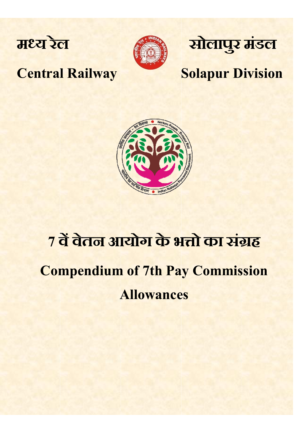



# सोलापुर मंडल

#### **Central Railway**

### **Solapur Division**



## 7 वें वेतन आयोग के भत्तो का संग्रह **Compendium of 7th Pay Commission Allowances**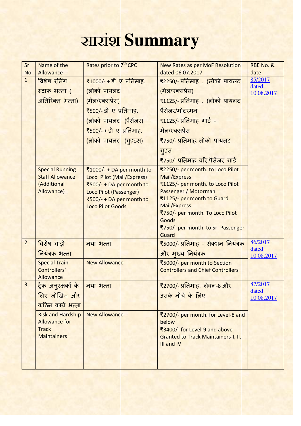## सारांश **Summary**

| Sr<br><b>No</b> | Name of the<br>Allowance                         | Rates prior to 7 <sup>th</sup> CPC                     | <b>New Rates as per MoF Resolution</b><br>dated 06.07.2017 | RBE No. &<br>date |
|-----------------|--------------------------------------------------|--------------------------------------------------------|------------------------------------------------------------|-------------------|
| $\overline{1}$  | विशेष रनिंग                                      | ₹1000/- + डी ए प्रतिमाह.                               | ₹2250/- प्रतिमाह). (लोको पायलट                             | 85/2017           |
|                 | स्टाफ भत्ता (                                    | (लोको पायलट                                            | (मेल/एक्सप्रेस)                                            | dated             |
|                 | अतिरिक्त भत्ता)                                  | (मेल/एक्सप्रेस)                                        | ₹1125/- प्रतिमाह . (लोको पायलट                             | 10.08.2017        |
|                 |                                                  | ₹500/- डी ए प्रतिमाह.                                  | पैसेंजर/मोटरमन                                             |                   |
|                 |                                                  | (लोको पायलट (पैसेंजर)                                  | <u>₹1125/- प्रतिमाह गार्ड -</u>                            |                   |
|                 |                                                  | <u> ₹500/- + डी ए प्रतिमाह.</u>                        | मेल/एक्सप्रेस                                              |                   |
|                 |                                                  |                                                        |                                                            |                   |
|                 |                                                  | (लोको पायलट (गुहइस)                                    | ₹750/- प्रतिमाह. लोको पायलट                                |                   |
|                 |                                                  |                                                        | ग्ड़स                                                      |                   |
|                 |                                                  |                                                        | ₹750/- प्रतिमाह  वरि.पैसेंजर  गार्ड                        |                   |
|                 | <b>Special Running</b><br><b>Staff Allowance</b> | ₹1000/- + DA per month to<br>Loco Pilot (Mail/Express) | ₹2250/- per month. to Loco Pilot<br><b>Mail/Express</b>    |                   |
|                 | (Additional                                      | ₹500/- + DA per month to                               | ₹1125/- per month. to Loco Pilot                           |                   |
|                 | Allowance)                                       | Loco Pilot (Passenger)                                 | Passenger / Motorman                                       |                   |
|                 |                                                  | ₹500/- + DA per month to<br><b>Loco Pilot Goods</b>    | ₹1125/- per month to Guard<br>Mail/Express                 |                   |
|                 |                                                  |                                                        | ₹750/- per month. To Loco Pilot                            |                   |
|                 |                                                  |                                                        | <b>Goods</b>                                               |                   |
|                 |                                                  |                                                        | ₹750/- per month. to Sr. Passenger<br>Guard                |                   |
| $\overline{2}$  | विशेष गाड़ी                                      | नया भत्ता                                              | ₹5000/- प्रतिमाह - सेक्शन नियंत्रक                         | 86/2017           |
|                 | नियंत्रक भत्ता                                   |                                                        | और मुख्य नियंत्रक                                          | dated             |
|                 | <b>Special Train</b>                             | <b>New Allowance</b>                                   | ₹5000/- per month to Section                               | 10.08.2017        |
|                 | Controllers'                                     |                                                        | <b>Controllers and Chief Controllers</b>                   |                   |
|                 | Allowance                                        |                                                        |                                                            |                   |
| 3               | <mark>ट्रैक अनुरक्षकों के</mark>                 | नया भत्ता                                              | ₹2700/- प्रतिमाह.) लेवल-8 और                               | 87/2017<br>dated  |
|                 | लिए जोखिम और                                     |                                                        | उसके नीचे के लिए                                           | 10.08.2017        |
|                 | कठिन कार्य भत्ता                                 |                                                        |                                                            |                   |
|                 | <b>Risk and Hardship</b>                         | <b>New Allowance</b>                                   | ₹2700/- per month. for Level-8 and                         |                   |
|                 | <b>Allowance for</b><br><b>Track</b>             |                                                        | below<br>₹3400/- for Level-9 and above                     |                   |
|                 | <b>Maintainers</b>                               |                                                        | <b>Granted to Track Maintainers-I, II,</b>                 |                   |
|                 |                                                  |                                                        | III and IV                                                 |                   |
|                 |                                                  |                                                        |                                                            |                   |
|                 |                                                  |                                                        |                                                            |                   |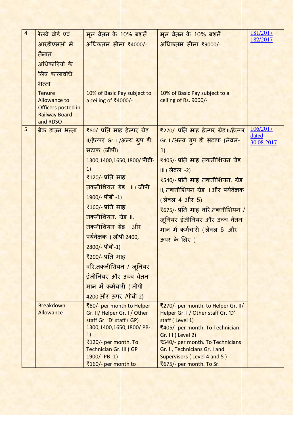| $\overline{4}$ | रेलवे बोर्ड एवं                                                                                | मूल वेतन के 10% बशर्तें                                  | मूल वेतन के 10% बशर्तें                                      | 181/2017            |
|----------------|------------------------------------------------------------------------------------------------|----------------------------------------------------------|--------------------------------------------------------------|---------------------|
|                | आरडीएसओ में                                                                                    | अधिकतम सीमा ₹4000/-                                      | अधिकतम सीमा ₹9000/-                                          | 182/2017            |
|                | तैनात                                                                                          |                                                          |                                                              |                     |
|                | अधिकारियों के                                                                                  |                                                          |                                                              |                     |
|                | लिए कालावधि                                                                                    |                                                          |                                                              |                     |
|                | भत्ता                                                                                          |                                                          |                                                              |                     |
|                | <b>Tenure</b><br><b>Allowance to</b><br>Officers posted in<br><b>Railway Board</b><br>and RDSO | 10% of Basic Pay subject to<br>a ceiling of ₹4000/-      | 10% of Basic Pay subject to a<br>ceiling of Rs. 9000/-       |                     |
| 5              | ब्रेक डाउन भत्ता                                                                               | ₹80/- प्रति माह हेल्पर ग्रेड                             | ₹270/- प्रति माह हेल्पर ग्रेड॥/हेल्पर                        | 106/2017            |
|                |                                                                                                | II/हेल्पर Gr. I /अन्य ग्रुप डी                           | Gr. I/अन्य ग्रुप डी सटाफ (लेवल-                              | dated<br>30.08.2017 |
|                |                                                                                                | सटाफ (जीपी)                                              | 1)                                                           |                     |
|                |                                                                                                | 1300,1400,1650,1800/ पीबी-                               | ₹405/- प्रति माह तकनीशियन ग्रेड                              |                     |
|                |                                                                                                | 1)                                                       | <u>III (लेवल -2)</u>                                         |                     |
|                |                                                                                                | ₹120/- प्रति माह                                         | ₹540/- प्रति माह तकनीशियन. ग्रेड                             |                     |
|                |                                                                                                | तकनीशियन ग्रेड ॥। (जीपी                                  | 11, तकनीशियन ग्रेड । और पर्यवेक्षक                           |                     |
|                |                                                                                                | 1900/- पीबी -1)                                          | (लेवल 4 और 5)                                                |                     |
|                |                                                                                                | ₹160/- प्रति माह                                         | ₹675/- प्रति माह वरि.तकनीशियन /                              |                     |
|                |                                                                                                | तकनीशियन. ग्रेड ॥,                                       | जूनियर इंजीनियर और उच्च वेतन                                 |                     |
|                |                                                                                                | तकनीशियन ग्रेड ।और                                       | मान में कर्मचारी (लेवल 6 और                                  |                     |
|                |                                                                                                | <u>पर्यवेक्षक (जीपी 2400,</u>                            | ऊपर के लिए)                                                  |                     |
|                |                                                                                                | 2800/- पीबी-1)                                           |                                                              |                     |
|                |                                                                                                | ₹200/- प्रति माह                                         |                                                              |                     |
|                |                                                                                                | वरि.तकनीशियन / जूनियर                                    |                                                              |                     |
|                |                                                                                                | इंजीनियर और उच्च वेतन                                    |                                                              |                     |
|                |                                                                                                | मान में कर्मचारी (जीपी                                   |                                                              |                     |
|                |                                                                                                | 4200 और ऊपर /पीबी-2)                                     |                                                              |                     |
|                | <b>Breakdown</b>                                                                               | ₹80/- per month to Helper                                | ₹270/- per month. to Helper Gr. II/                          |                     |
|                | Allowance                                                                                      | Gr. II/ Helper Gr. I / Other<br>staff Gr. 'D' staff (GP) | Helper Gr. I / Other staff Gr. 'D'<br>staff (Level 1)        |                     |
|                |                                                                                                | 1300,1400,1650,1800/PB-                                  | ₹405/- per month. To Technician                              |                     |
|                |                                                                                                | 1)                                                       | Gr. III (Level 2)                                            |                     |
|                |                                                                                                | ₹120/- per month. To                                     | ₹540/- per month. To Technicians                             |                     |
|                |                                                                                                | <b>Technician Gr. III (GP</b><br>$1900/- PB - 1)$        | Gr. II, Technicians Gr. I and<br>Supervisors (Level 4 and 5) |                     |
|                |                                                                                                | ₹160/- per month to                                      | ₹675/- per month. To Sr.                                     |                     |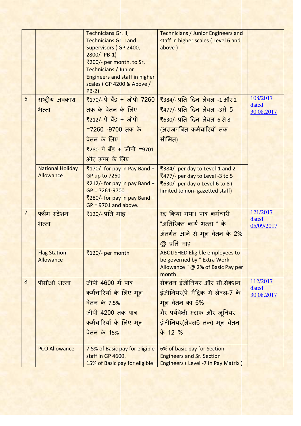|                |                                  | Technicians Gr. II,                                    | <b>Technicians / Junior Engineers and</b>                             |                     |
|----------------|----------------------------------|--------------------------------------------------------|-----------------------------------------------------------------------|---------------------|
|                |                                  | <b>Technicians Gr. I and</b>                           | staff in higher scales (Level 6 and                                   |                     |
|                |                                  | Supervisors (GP 2400,                                  | above)                                                                |                     |
|                |                                  | $2800/- PB-1)$                                         |                                                                       |                     |
|                |                                  | ₹200/- per month. to Sr.                               |                                                                       |                     |
|                |                                  | <b>Technicians / Junior</b>                            |                                                                       |                     |
|                |                                  | <b>Engineers and staff in higher</b>                   |                                                                       |                     |
|                |                                  | scales (GP 4200 & Above /<br>$PB-2)$                   |                                                                       |                     |
| $6\phantom{1}$ | राष्ट्रीय अवकाश                  | ₹170/- पे बैंड + जीपी 7260                             | ₹384/- प्रति दिन लेवल -1 और 2                                         | 108/2017            |
|                | भत्ता                            | तक के वेतन के लिए                                      | <u>₹477/- प्रति दिन लेवल -3से 5</u>                                   | dated               |
|                |                                  | ₹212/- पे बैंड + जीपी                                  |                                                                       | 30.08.2017          |
|                |                                  |                                                        | <u>₹630/- प्रति दिन लेवल 6 से 8</u>                                   |                     |
|                |                                  | =7260 -9700 तक के                                      | (अराजपत्रित कर्मचारियों तक                                            |                     |
|                |                                  | वेतन के लिए                                            | सीमित)                                                                |                     |
|                |                                  | ₹280 पे बैंड + जीपी =9701                              |                                                                       |                     |
|                |                                  | और ऊपर के लिए                                          |                                                                       |                     |
|                | <b>National Holiday</b>          | ₹170/- for pay in Pay Band +                           | ₹384/- per day to Level-1 and 2                                       |                     |
|                | <b>Allowance</b>                 | GP up to 7260                                          | ₹477/- per day to Level -3 to 5                                       |                     |
|                |                                  | ₹212/- for pay in pay Band +                           | ₹630/- per day o Level-6 to 8 (                                       |                     |
|                |                                  | $GP = 7261 - 9700$                                     | limited to non-gazetted staff)                                        |                     |
|                |                                  | ₹280/- for pay in pay Band +<br>$GP = 9701$ and above. |                                                                       |                     |
| $\overline{7}$ | फ्लैग स्टेशन                     | ₹120/- प्रति माह                                       | <u>रद्द किया गया। पात्र कर्मचारी</u>                                  | 121/2017            |
|                | भत्ता                            |                                                        | "अतिरिक्त कार्य भत्ता " के                                            | dated               |
|                |                                  |                                                        | अंतर्गत आने से मूल वेतन के 2%                                         | 05/09/2017          |
|                |                                  |                                                        |                                                                       |                     |
|                |                                  |                                                        | @ प्रति माह                                                           |                     |
|                | <b>Flag Station</b><br>Allowance | ₹120/- per month                                       | <b>ABOLISHED Eligible employees to</b><br>be governed by " Extra Work |                     |
|                |                                  |                                                        | Allowance " @ 2% of Basic Pay per                                     |                     |
|                |                                  |                                                        | month                                                                 |                     |
| 8              | पीसीओ भत्ता                      | जीपी 4600 में पात्र                                    | सेक्शन इंजीनियर और सी.सेक्शन                                          | 112/2017            |
|                |                                  | कर्मचारियों के लिए मूल                                 | इंजीनियर(पे मैट्रिक में लेवल-7 के                                     | dated<br>30.08.2017 |
|                |                                  | <u>वेतन के 7.5%</u>                                    | मूल वेतन का 6%                                                        |                     |
|                |                                  | जीपी 4200 तक पात्र                                     | गैर पर्यवेक्षी स्टाफ और जूनियर                                        |                     |
|                |                                  | कर्मचारियों के लिए मूल                                 | इंजीनियर(लेवल6 तक) मूल वेतन                                           |                     |
|                |                                  | <u>वेतन के 15%</u>                                     | के 12 %                                                               |                     |
|                |                                  |                                                        |                                                                       |                     |
|                | <b>PCO Allowance</b>             | 7.5% of Basic pay for eligible                         | 6% of basic pay for Section                                           |                     |
|                |                                  | staff in GP 4600.                                      | <b>Engineers and Sr. Section</b>                                      |                     |
|                |                                  | 15% of Basic pay for eligible                          | <b>Engineers (Level -7 in Pay Matrix)</b>                             |                     |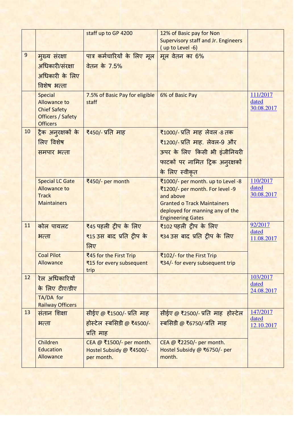|                |                                                 | staff up to GP 4200                 | 12% of Basic pay for Non                        |                     |
|----------------|-------------------------------------------------|-------------------------------------|-------------------------------------------------|---------------------|
|                |                                                 |                                     | <b>Supervisory staff and Jr. Engineers</b>      |                     |
|                |                                                 |                                     | (up to Level -6)                                |                     |
| $\overline{9}$ | मुख्य संरक्षा                                   | <u>पात्र कर्मचारियों के लिए मूल</u> | मूल वेतन का 6%                                  |                     |
|                | अधिकारी/संरक्षा                                 | वेतन के 7.5%                        |                                                 |                     |
|                | अधिकारी के लिए                                  |                                     |                                                 |                     |
|                | विशेष भत्ता                                     |                                     |                                                 |                     |
|                | <b>Special</b>                                  | 7.5% of Basic Pay for eligible      | 6% of Basic Pay                                 | 111/2017            |
|                | <b>Allowance to</b>                             | staff                               |                                                 | dated<br>30.08.2017 |
|                | <b>Chief Safety</b><br><b>Officers / Safety</b> |                                     |                                                 |                     |
|                | <b>Officers</b>                                 |                                     |                                                 |                     |
| 10             | <u>ट्रैक अनुरक्षकों के</u>                      | ₹450/- प्रति माह                    | ₹1000/- प्रति  माह  लेवल -8 तक                  |                     |
|                | लिए विशेष                                       |                                     | ₹1200/- प्रति माह. लेवल-9 और                    |                     |
|                | समपार भत्ता                                     |                                     | ऊपर के लिए किसी भी इंजीनियरी                    |                     |
|                |                                                 |                                     | फाटकों पर नामित ट्रिक अनुरक्षकों                |                     |
|                |                                                 |                                     | के लिए स्वीकृत                                  |                     |
|                | <b>Special LC Gate</b>                          | ₹450/- per month                    | ₹1000/- per month. up to Level -8               | 110/2017            |
|                | <b>Allowance to</b>                             |                                     | ₹1200/- per month. For level -9                 | dated<br>30.08.2017 |
|                | <b>Track</b><br><b>Maintainers</b>              |                                     | and above<br><b>Granted o Track Maintainers</b> |                     |
|                |                                                 |                                     | deployed for manning any of the                 |                     |
|                |                                                 |                                     | <b>Engineering Gates</b>                        |                     |
| 11             | कोल पायलट                                       | ₹45 पहली ट्रीप के लिए               | ₹102 पहली ट्रीप के लिए                          | 92/2017             |
|                | भत्ता                                           | ₹15 उस बाद प्रति ट्रीप के           | <del>₹34 उस</del> बाद प्रति ट्रीप के लिए        | dated<br>11.08.2017 |
|                |                                                 | लिए                                 |                                                 |                     |
|                | <b>Coal Pilot</b>                               | ₹45 for the First Trip              | ₹102/- for the First Trip                       |                     |
|                | Allowance                                       | ₹15 for every subsequent            | ₹34/- for every subsequent trip                 |                     |
| 12             | रेल अधिकारियों                                  | trip                                |                                                 | 103/2017            |
|                | के लिए टीए/डीए                                  |                                     |                                                 | dated               |
|                | TA/DA for                                       |                                     |                                                 | 24.08.2017          |
|                | <b>Railway Officers</b>                         |                                     |                                                 |                     |
| 13             | संतान शिक्षा                                    | सीईए @ ₹1500/- प्रति माह            | सीईए @ ₹2500/- प्रति माह होस्टेल                | 147/2017<br>dated   |
|                | भत्ता                                           | होस्टेल स्बसिडी @ ₹4500/-           | स्बसिडी @ ₹6750/-प्रति माह                      | 12.10.2017          |
|                |                                                 | प्रति माह                           |                                                 |                     |
|                | Children                                        | CEA @ ₹1500/- per month.            | CEA @ ₹2250/- per month.                        |                     |
|                | <b>Education</b>                                | Hostel Subsidy @ ₹4500/-            | Hostel Subsidy @ ₹6750/- per                    |                     |
|                | Allowance                                       | per month.                          | month.                                          |                     |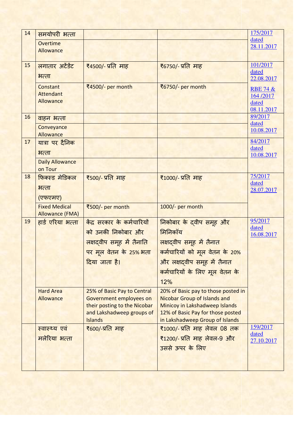| 14 | समयोपरी भत्ता          |                                                           |                                                                     | 175/2017            |
|----|------------------------|-----------------------------------------------------------|---------------------------------------------------------------------|---------------------|
|    | Overtime               |                                                           |                                                                     | dated<br>28.11.2017 |
|    | Allowance              |                                                           |                                                                     |                     |
| 15 |                        |                                                           |                                                                     | 101/2017            |
|    | लगातार अटेंडेंट        | <u>₹4500/- प्रति माह</u>                                  | ₹6750/- प्रति माह                                                   | dated               |
|    | भत्ता                  |                                                           |                                                                     | 22.08.2017          |
|    | <b>Constant</b>        | ₹4500/- per month                                         | ₹6750/- per month                                                   | <b>RBE 74 &amp;</b> |
|    | <b>Attendant</b>       |                                                           |                                                                     | 164/2017            |
|    | Allowance              |                                                           |                                                                     | dated<br>08.11.2017 |
| 16 | वाहन भत्ता             |                                                           |                                                                     | 89/2017             |
|    | Conveyance             |                                                           |                                                                     | dated               |
|    | Allowance              |                                                           |                                                                     | 10.08.2017          |
| 17 | यात्रा पर दैनिक        |                                                           |                                                                     | 84/2017             |
|    | भत्ता                  |                                                           |                                                                     | dated<br>10.08.2017 |
|    | <b>Daily Allowance</b> |                                                           |                                                                     |                     |
|    | on Tour                |                                                           |                                                                     |                     |
| 18 | फिक्स्ड मेडिकल         | ₹500/- प्रति माह                                          | ₹1000/- प्रति माह                                                   | 75/2017<br>dated    |
|    | भत्ता                  |                                                           |                                                                     | 28.07.2017          |
|    | (एफएमए)                |                                                           |                                                                     |                     |
|    | <b>Fixed Medical</b>   | ₹500/- per month                                          | 1000/- per month                                                    |                     |
|    | <b>Allowance (FMA)</b> |                                                           |                                                                     | 95/2017             |
| 19 | हार्ड एरिया भत्ता      | केंद्र सरकार के कर्मचारियों                               | निकोबार के दवीप समूह और                                             | dated               |
|    |                        | को उनकी निकोबार और                                        | मिनिकॉय                                                             | 16.08.2017          |
|    |                        | <mark>लक्षद्वीप समूह में तैनाति</mark>                    | लक्षदवीप समूह में तैनात                                             |                     |
|    |                        | पर मूल वेतन के 25% भता                                    | कर्मचारियों को मूल वेतन के 20%                                      |                     |
|    |                        | दिया जाता है।                                             | और लक्षदवीप समूह में तैनात                                          |                     |
|    |                        |                                                           | कर्मचारियों के लिए मूल वेतन के                                      |                     |
|    |                        |                                                           | 12%                                                                 |                     |
|    | <b>Hard Area</b>       | 25% of Basic Pay to Central                               | 20% of Basic pay to those posted in                                 |                     |
|    | <b>Allowance</b>       | Government employees on                                   | <b>Nicobar Group of Islands and</b>                                 |                     |
|    |                        | their posting to the Nicobar<br>and Lakshadweep groups of | Minicoy in Lakshadweep Islands<br>12% of Basic Pay for those posted |                     |
|    |                        | <b>Islands</b>                                            | in Lakshadweep Group of Islands                                     |                     |
|    | स्वास्थ्य एवं          | ₹600/-प्रति माह                                           | ₹1000/- प्रति माह लेवल 08 तक                                        | 159/2017            |
|    | मलेरिया भत्ता          |                                                           | ₹1200/- प्रति माह लेवल-9 और                                         | dated<br>27.10.2017 |
|    |                        |                                                           | उससे ऊपर के लिए                                                     |                     |
|    |                        |                                                           |                                                                     |                     |
|    |                        |                                                           |                                                                     |                     |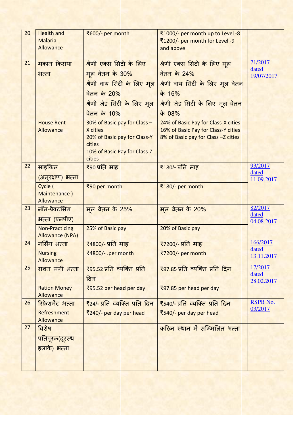| 20 | <b>Health and</b><br><b>Malaria</b><br>Allowance | ₹600/- per month                                                                                                   | ₹1000/- per month up to Level -8<br>₹1200/- per month for Level -9<br>and above                                   |                                |
|----|--------------------------------------------------|--------------------------------------------------------------------------------------------------------------------|-------------------------------------------------------------------------------------------------------------------|--------------------------------|
| 21 | मकान किराया                                      | श्रेणी एक्स सिटी के लिए                                                                                            | श्रेणी एक्स सिटी के लिए मूल                                                                                       | 71/2017                        |
|    | भत्ता                                            | मूल वेतन के 30%<br>श्रेणी वाय सिटी के लिए मूल                                                                      | <u>वेतन के 24%</u><br>श्रेणी वाय सिटी के लिए मूल वेतन                                                             | dated<br>19/07/2017            |
|    |                                                  | <u>वेतन के 20%</u>                                                                                                 | के 16%                                                                                                            |                                |
|    |                                                  | श्रेणी जेड सिटी के लिए मूल                                                                                         | श्रेणी जेड सिटी के लिए मूल वेतन                                                                                   |                                |
|    |                                                  | <u>वेतन के 10%</u>                                                                                                 | के 08%                                                                                                            |                                |
|    | <b>House Rent</b><br>Allowance                   | 30% of Basic pay for Class -<br>X cities<br>20% of Basic pay for Class-Y<br>cities<br>10% of Basic Pay for Class-Z | 24% of Basic Pay for Class-X cities<br>16% of Basic Pay for Class-Y cities<br>8% of Basic pay for Class -Z cities |                                |
|    |                                                  | cities                                                                                                             |                                                                                                                   |                                |
| 22 | साइकिल<br><u>(अन्</u> रक्षण) भत्ता               | ₹90 प्रति माह                                                                                                      | ₹180/- प्रति माह                                                                                                  | 93/2017<br>dated<br>11.09.2017 |
|    | Cycle (<br>Maintenance)<br>Allowance             | ₹90 per month                                                                                                      | ₹180/- per month                                                                                                  |                                |
| 23 | नॉन-प्रैक्टसिंग<br>भल्ता (एनपीए)                 | मूल वेतन के 25%                                                                                                    | मूल वेतन के 20%                                                                                                   | 82/2017<br>dated<br>04.08.2017 |
|    | <b>Non-Practicing</b><br><b>Allowance (NPA)</b>  | 25% of Basic pay                                                                                                   | 20% of Basic pay                                                                                                  |                                |
| 24 | नर्सिंग भत्ता                                    | <u>₹4800/- प्रतिज्ञाह</u>                                                                                          | <u>₹7200/- प्रतिज्ञाह</u>                                                                                         | 166/2017                       |
|    | <b>Nursing</b><br>Allowance                      | ₹4800/- .per month                                                                                                 | ₹7200/- per month                                                                                                 | <u>dated</u><br>13.11.2017     |
| 25 | राशन मनी भत्ता                                   | ₹95.52 प्रति व्यक्ति प्रति<br>दिन                                                                                  | ₹97.85 प्रति व्यक्ति प्रति दिन                                                                                    | 17/2017<br>dated               |
|    | <b>Ration Money</b><br>Allowance                 | ₹95.52 per head per day                                                                                            | ₹97.85 per head per day                                                                                           | 28.02.2017                     |
| 26 | रिफ्रेशमेंट भत्ता                                | <u> ₹24/- प्रति  व्यक्ति  प्रति  दिन</u>                                                                           | <u> ₹540/- प्रति  व्यक्ति  प्रति  दिन </u>                                                                        | RSPB No.                       |
|    | Refreshment<br>Allowance                         | $\frac{1}{2}$ 240/- per day per head                                                                               | ₹540/- per day per head                                                                                           | 03/2017                        |
| 27 | विशेष                                            |                                                                                                                    | <u>कठिन स्थान में सम्मिलित भत्ता</u>                                                                              |                                |
|    | प्रतिपूरक(दूरस्थ                                 |                                                                                                                    |                                                                                                                   |                                |
|    | इलाके) भत्ता                                     |                                                                                                                    |                                                                                                                   |                                |
|    |                                                  |                                                                                                                    |                                                                                                                   |                                |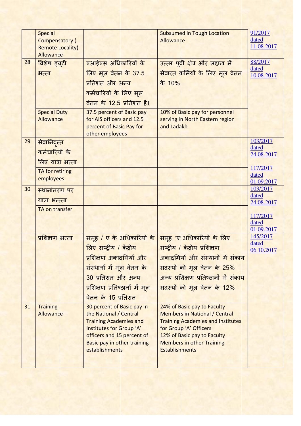|    | <b>Special</b>                                   |                                                                  | <b>Subsumed in Tough Location</b>                                   | 91/2017             |
|----|--------------------------------------------------|------------------------------------------------------------------|---------------------------------------------------------------------|---------------------|
|    | <b>Compensatory (</b><br><b>Remote Locality)</b> |                                                                  | Allowance                                                           | dated<br>11.08.2017 |
|    | Allowance                                        |                                                                  |                                                                     |                     |
| 28 | विशेष ड्यूटी                                     | एआईएस अधिकारियों के                                              | उत्तर पूर्वी क्षेत्र और लद्दाख में                                  | 88/2017<br>dated    |
|    | भत्ता                                            | लिए मूल वेतन के 37.5                                             | सेवारत कर्मियों के लिए मूल वेतन                                     | 10.08.2017          |
|    |                                                  | प्रतिशत और अन्य                                                  | के 10%                                                              |                     |
|    |                                                  | कर्मचारियों के लिए मूल                                           |                                                                     |                     |
|    |                                                  | वेतन के 12.5 प्रतिशत है।                                         |                                                                     |                     |
|    | <b>Special Duty</b>                              | 37.5 percent of Basic pay                                        | 10% of Basic pay for personnel                                      |                     |
|    | Allowance                                        | for AIS officers and 12.5<br>percent of Basic Pay for            | serving in North Eastern region<br>and Ladakh                       |                     |
|    |                                                  | other employees                                                  |                                                                     |                     |
| 29 | सेवानिवृत्त                                      |                                                                  |                                                                     | 103/2017<br>dated   |
|    | कर्मचारियों के                                   |                                                                  |                                                                     | 24.08.2017          |
|    | लिए यात्रा भत्ता                                 |                                                                  |                                                                     |                     |
|    | TA for retiring                                  |                                                                  |                                                                     | 117/2017<br>dated   |
|    | employees                                        |                                                                  |                                                                     | 01.09.2017          |
| 30 | स्थानांतरण पर                                    |                                                                  |                                                                     | 103/2017<br>dated   |
|    | यात्रा भल्त्ता                                   |                                                                  |                                                                     | 24.08.2017          |
|    | TA on transfer                                   |                                                                  |                                                                     | 117/2017            |
|    |                                                  |                                                                  |                                                                     | dated               |
|    |                                                  |                                                                  |                                                                     | 01.09.2017          |
|    | प्रशिक्षण भत्ता                                  | <u>समूह / ए के अधिकारियों के</u>                                 | समूह 'ए' अधिकारियों के लिए                                          | 145/2017<br>dated   |
|    |                                                  | लिए राष्ट्रीय / केंद्रीय                                         | राष्ट्रीय / केंद्रीय प्रशिक्षण                                      | 06.10.2017          |
|    |                                                  | प्रशिक्षण अकादमियों और                                           | अकादमियों और संस्थानों में संकाय                                    |                     |
|    |                                                  | संस्थानों में मूल वेतन के                                        | सदस्यों को मूल वेतन के 25%                                          |                     |
|    |                                                  | 30 प्रतिशत और अन्य                                               | अन्य प्रशिक्षण प्रतिष्ठानों में संकाय                               |                     |
|    |                                                  | प्रशिक्षण प्रतिष्ठानों में मूल                                   | सदस्यों को मूल वेतन के 12%                                          |                     |
|    |                                                  | वेतन के 15 प्रतिशत                                               |                                                                     |                     |
| 31 | <b>Training</b><br>Allowance                     | 30 percent of Basic pay in<br>the National / Central             | 24% of Basic pay to Faculty<br><b>Members in National / Central</b> |                     |
|    |                                                  | <b>Training Academies and</b>                                    | <b>Training Academies and Institutes</b>                            |                     |
|    |                                                  | Institutes for Group 'A'                                         | for Group 'A' Officers                                              |                     |
|    |                                                  | officers and 15 percent of<br><b>Basic pay in other training</b> | 12% of Basic pay to Faculty<br><b>Members in other Training</b>     |                     |
|    |                                                  | establishments                                                   | <b>Establishments</b>                                               |                     |
|    |                                                  |                                                                  |                                                                     |                     |
|    |                                                  |                                                                  |                                                                     |                     |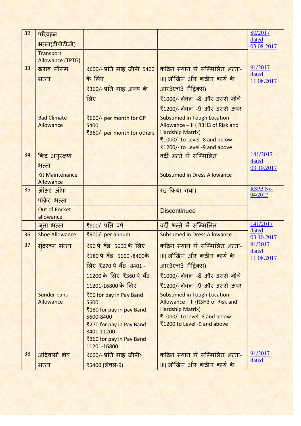| 32 | परिवहन                              |                                        |                                                                | 80/2017             |
|----|-------------------------------------|----------------------------------------|----------------------------------------------------------------|---------------------|
|    | भत्ता(टीपीटीजी)                     |                                        |                                                                | dated<br>03.08.2017 |
|    | <b>Transport</b>                    |                                        |                                                                |                     |
|    | <b>Allowance (TPTG)</b>             |                                        |                                                                |                     |
| 33 | खराब मौसम                           | <del>₹</del> 600/- प्रति माह जीपी 5400 | कठिन स्थान में सम्मिलित भत्ता-                                 | 91/2017<br>dated    |
|    | भत्ता                               | के लिए                                 | ।॥(जोखिम और कठीन कार्य के                                      | 11.08.2017          |
|    |                                     | ₹360/- प्रति माह अन्य के               | आर3एच3 मैट्रिक्स)                                              |                     |
|    |                                     | लिए                                    | ₹1000/- लेवल -8 और उससे नीचे                                   |                     |
|    |                                     |                                        | ₹1200/- लेवल -9 और उससे ऊपर                                    |                     |
|    | <b>Bad Climate</b>                  | ₹600/- per month for GP                | <b>Subsumed in Tough Location</b>                              |                     |
|    | Allowance                           | 5400                                   | Allowance -III (R3H3 of Risk and                               |                     |
|    |                                     | ₹360/- per month for others            | <b>Hardship Matrix)</b>                                        |                     |
|    |                                     |                                        | ₹1000/- to Level -8 and below<br>₹1200/- to Level -9 and above |                     |
| 34 | किट अनुरक्षण                        |                                        | वर्दी भरते में सम्मिलित                                        | 141/2017            |
|    |                                     |                                        |                                                                | dated               |
|    | भत्ता                               |                                        |                                                                | 03.10.2017          |
|    | <b>Kit Maintenance</b><br>Allowance |                                        | <b>Subsumed in Dress Allowance</b>                             |                     |
| 35 | ऑऊट ऑफ                              |                                        | रद्द किया गया।                                                 | <b>RSPB No.</b>     |
|    | पॉकेट भत्ता                         |                                        |                                                                | 04/2017             |
|    | <b>Out of Pocket</b>                |                                        |                                                                |                     |
|    | allowance                           |                                        | <b>Discontinued</b>                                            |                     |
|    | जुता भत्ता                          | <del>₹</del> 900/- प्रति वर्ष          | वर्दी भरते में सम्मिलित                                        | 141/2017            |
| 36 | <b>Shoe Allowance</b>               | ₹900/- per annum                       | <b>Subsumed in Dress Allowance</b>                             | dated<br>03.10.2017 |
| 37 | सुंदरबन भत्ता                       | <del>₹</del> 90 पे बैंड 5600 के लिए    | कठिन स्थान में सम्मिलित भत्ता-                                 | 91/2017             |
|    |                                     | ₹180 पे बैंड 5600-8400के               | ।॥(जोखिम और कठीन कार्य के                                      | dated<br>11.08.2017 |
|    |                                     | <u> लिए ₹270 पे बैंड 8401 -</u>        | आर3एच3 मैट्रिक्स)                                              |                     |
|    |                                     | 11200 के लिए ₹360 पे बैंड              | <u>₹1000/- लेवल -8 और उससे नीचे</u>                            |                     |
|    |                                     | 11201-16800 के लिए                     | <u>₹1200/- लेवल -9 और उससे ऊपर</u>                             |                     |
|    | <b>Sunder bans</b>                  | ₹90 for pay in Pay Band                | <b>Subsumed in Tough Location</b>                              |                     |
|    | Allowance                           | 5600                                   | Allowance -III (R3H3 of Risk and                               |                     |
|    |                                     | ₹180 for pay in pay Band               | <b>Hardship Matrix)</b>                                        |                     |
|    |                                     | 5600-8400<br>₹270 for pay in Pay Band  | ₹1000/- to level -8 and below<br>₹1200 to Level -9 and above   |                     |
|    |                                     | 8401-11200                             |                                                                |                     |
|    |                                     | ₹360 for pay in Pay Band               |                                                                |                     |
|    |                                     | 11201-16800                            |                                                                |                     |
| 38 | अदिवासी क्षेत्र                     | ₹600/- प्रति माह जीपी>                 | कठिन स्थान में सम्मिलित भत्ता-                                 | 91/2017<br>dated    |
|    | भत्ता                               | ₹5400 (लेवल-9)                         | III( जोखिम और कठीन कार्य के                                    |                     |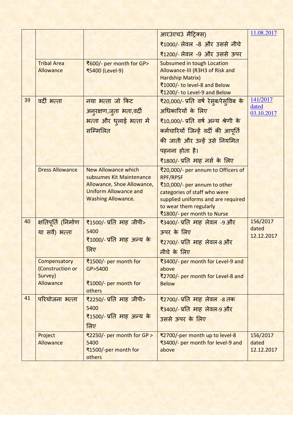|    |                             |                                                            |                                                                    | 11.08.2017          |
|----|-----------------------------|------------------------------------------------------------|--------------------------------------------------------------------|---------------------|
|    |                             |                                                            | आर3एच3 मैट्रिक्स)                                                  |                     |
|    |                             |                                                            | ₹1000/- लेवल -8 और उससे नीचे                                       |                     |
|    |                             |                                                            | <u>₹1200/- लेवल -9 और उससे ऊपर</u>                                 |                     |
|    | <b>Tribal Area</b>          | ₹600/- per month for GP>                                   | <b>Subsumed in tough Location</b>                                  |                     |
|    | Allowance                   | ₹5400 (Level-9)                                            | Allowance-III (R3H3 of Risk and<br><b>Hardship Matrix)</b>         |                     |
|    |                             |                                                            | ₹1000/- to level-8 and Below                                       |                     |
|    |                             |                                                            | ₹1200/- to Level-9 and Below                                       |                     |
| 39 | वर्दी भत्ता                 | नया भत्ता जो किट                                           | ₹20,000/- प्रति वर्ष रेसुब/रेसुविब के                              | 141/2017            |
|    |                             | अनुरक्षण,जुता भता,वर्दी                                    | अधिकारियों के लिए                                                  | dated<br>03.10.2017 |
|    |                             | <mark>भत्ता और ध</mark> ्लाई भत्ता में                     | ₹10,000/- प्रति वर्ष अन्य श्रेणी के                                |                     |
|    |                             | सम्मिलित                                                   | कर्मचारियों जिन्हें वर्दी की आपूर्ति                               |                     |
|    |                             |                                                            | की जाती और उन्हें उसे नियमित                                       |                     |
|    |                             |                                                            | पहनना होता है।                                                     |                     |
|    |                             |                                                            | ₹1800/- प्रति माह नर्स के लिए                                      |                     |
|    | <b>Dress Allowance</b>      | <b>New Allowance which</b>                                 | ₹20,000/- per annum to Officers of                                 |                     |
|    |                             | subsumes Kit Maintenance                                   | <b>RPF/RPSF</b>                                                    |                     |
|    |                             | Allowance, Shoe Allowance,<br><b>Uniform Allowance and</b> | ₹10,000/- per annum to other                                       |                     |
|    |                             | <b>Washing Allowance.</b>                                  | categories of staff who were<br>supplied uniforms and are required |                     |
|    |                             |                                                            | to wear them regularly                                             |                     |
|    |                             |                                                            | ₹1800/- per month to Nurse                                         |                     |
| 40 | <u>क्षतिपूर्ति (निर्माण</u> | <u> ₹1500/- प्रति माह जीपी&gt;</u>                         | ₹3400/- प्रति माह लेवल -9 और                                       | 156/2017            |
|    | या सर्वे) भत्ता             | 5400                                                       | ऊपर के लिए                                                         | dated<br>12.12.2017 |
|    |                             | ₹1000/- प्रति माह अन्य के                                  | <u>₹2700/- प्रति  माह  लेवल-8 और </u>                              |                     |
|    |                             | लिए                                                        | नीचे के लिए                                                        |                     |
|    | Compensatory                | ₹1500/- per month for                                      | ₹3400/- per month for Level-9 and                                  |                     |
|    | (Construction or            | GP>5400                                                    | above                                                              |                     |
|    | Survey)<br>Allowance        |                                                            | ₹2700/- per month for Level-8 and                                  |                     |
|    |                             | ₹1000/- per month for<br>others                            | <b>Below</b>                                                       |                     |
| 41 | परियोजना भत्ता              | <u> ₹2250/- प्रति माह जीपी&gt;</u>                         | ₹2700/- प्रति माह लेवल -8 तक                                       |                     |
|    |                             | 5400                                                       | ₹3400/- प्रति माह लेवल-9 और                                        |                     |
|    |                             | ₹1500/- प्रति माह अन्य के                                  | उससे ऊपर के लिए                                                    |                     |
|    |                             | लिए                                                        |                                                                    |                     |
|    | Project                     | ₹2250/- per month for GP >                                 | ₹2700/-per month up to level-8                                     | 156/2017            |
|    | Allowance                   | 5400                                                       | ₹3400/- per month for level-9 and                                  | dated               |
|    |                             | ₹1500/-per month for<br>others                             | above                                                              | 12.12.2017          |